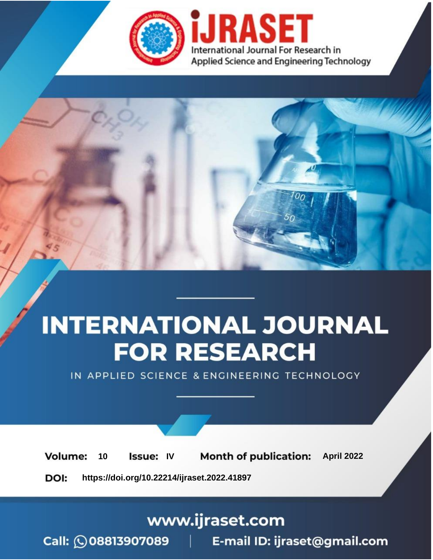

# **INTERNATIONAL JOURNAL FOR RESEARCH**

IN APPLIED SCIENCE & ENGINEERING TECHNOLOGY

10 **Issue: IV Month of publication:** April 2022 **Volume:** 

**https://doi.org/10.22214/ijraset.2022.41897**DOI:

www.ijraset.com

Call: 008813907089 | E-mail ID: ijraset@gmail.com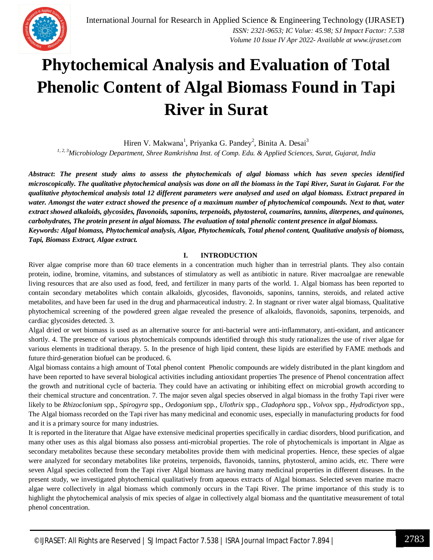

### **Phytochemical Analysis and Evaluation of Total Phenolic Content of Algal Biomass Found in Tapi River in Surat**

Hiren V. Makwana<sup>1</sup>, Priyanka G. Pandey<sup>2</sup>, Binita A. Desai<sup>3</sup>

*1, 2, 3Microbiology Department, Shree Ramkrishna Inst. of Comp. Edu. & Applied Sciences, Surat, Gujarat, India*

*Abstract***:** *The present study aims to assess the phytochemicals of algal biomass which has seven species identified microscopically. The qualitative phytochemical analysis was done on all the biomass in the Tapi River, Surat in Gujarat. For the qualitative phytochemical analysis total 12 different parameters were analysed and used on algal biomass. Extract prepared in water. Amongst the water extract showed the presence of a maximum number of phytochemical compounds. Next to that, water extract showed alkaloids, glycosides, flavonoids, saponins, terpenoids, phytosterol, coumarins, tannins, diterpenes, and quinones, carbohydrates, The protein present in algal biomass. The evaluation of total phenolic content presence in algal biomass. Keywords: Algal biomass, Phytochemical analysis, Algae, Phytochemicals, Total phenol content, Qualitative analysis of biomass, Tapi, Biomass Extract, Algae extract.*

#### **I. INTRODUCTION**

River algae comprise more than 60 trace elements in a concentration much higher than in terrestrial plants. They also contain protein, iodine, bromine, vitamins, and substances of stimulatory as well as antibiotic in nature. River macroalgae are renewable living resources that are also used as food, feed, and fertilizer in many parts of the world. 1. Algal biomass has been reported to contain secondary metabolites which contain alkaloids, glycosides, flavonoids, saponins, tannins, steroids, and related active metabolites, and have been far used in the drug and pharmaceutical industry. 2. In stagnant or river water algal biomass, Qualitative phytochemical screening of the powdered green algae revealed the presence of alkaloids, flavonoids, saponins, terpenoids, and cardiac glycosides detected. 3.

Algal dried or wet biomass is used as an alternative source for anti-bacterial were anti-inflammatory, anti-oxidant, and anticancer shortly. 4. The presence of various phytochemicals compounds identified through this study rationalizes the use of river algae for various elements in traditional therapy. 5. In the presence of high lipid content, these lipids are esterified by FAME methods and future third-generation biofuel can be produced. 6.

Algal biomass contains a high amount of Total phenol content Phenolic compounds are widely distributed in the plant kingdom and have been reported to have several biological activities including antioxidant properties The presence of Phenol concentration affect the growth and nutritional cycle of bacteria. They could have an activating or inhibiting effect on microbial growth according to their chemical structure and concentration. 7. The major seven algal species observed in algal biomass in the frothy Tapi river were likely to be *Rhizoclonium* spp*., Spirogyra* spp*., Oedogonium* spp*., Ulothrix* spp*., Cladophora* spp*., Volvox* spp*., Hydrodictyon* spp*.,*  The Algal biomass recorded on the Tapi river has many medicinal and economic uses, especially in manufacturing products for food and it is a primary source for many industries.

It is reported in the literature that Algae have extensive medicinal properties specifically in cardiac disorders, blood purification, and many other uses as this algal biomass also possess anti-microbial properties. The role of phytochemicals is important in Algae as secondary metabolites because these secondary metabolites provide them with medicinal properties. Hence, these species of algae were analyzed for secondary metabolites like proteins, terpenoids, flavonoids, tannins, phytosterol, amino acids, etc. There were seven Algal species collected from the Tapi river Algal biomass are having many medicinal properties in different diseases. In the present study, we investigated phytochemical qualitatively from aqueous extracts of Algal biomass. Selected seven marine macro algae were collectively in algal biomass which commonly occurs in the Tapi River. The prime importance of this study is to highlight the phytochemical analysis of mix species of algae in collectively algal biomass and the quantitative measurement of total phenol concentration.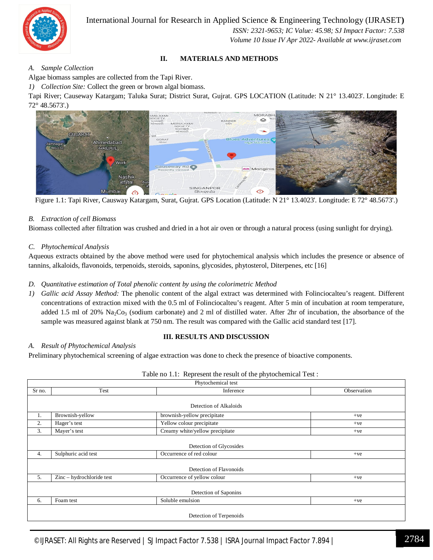

 *ISSN: 2321-9653; IC Value: 45.98; SJ Impact Factor: 7.538 Volume 10 Issue IV Apr 2022- Available at www.ijraset.com*

#### **II. MATERIALS AND METHODS**

#### *A. Sample Collection*

Algae biomass samples are collected from the Tapi River.

*1) Collection Site:* Collect the green or brown algal biomass.

Tapi River; Causeway Katargam; Taluka Surat; District Surat, Gujrat. GPS LOCATION (Latitude: N 21° 13.4023'. Longitude: E 72° 48.5673'.)



Figure 1.1: Tapi River, Causway Katargam, Surat, Gujrat. GPS Location (Latitude: N 21° 13.4023'. Longitude: E 72° 48.5673'.)

#### *B. Extraction of cell Biomass*

Biomass collected after filtration was crushed and dried in a hot air oven or through a natural process (using sunlight for drying).

#### *C. Phytochemical Analysis*

Aqueous extracts obtained by the above method were used for phytochemical analysis which includes the presence or absence of tannins, alkaloids, flavonoids, terpenoids, steroids, saponins, glycosides, phytosterol, Diterpenes, etc [16]

#### *D. Quantitative estimation of Total phenolic content by using the colorimetric Method*

*1) Gallic acid Assay Method:* The phenolic content of the algal extract was determined with Folinciocalteu's reagent. Different concentrations of extraction mixed with the 0.5 ml of Folinciocalteu's reagent. After 5 min of incubation at room temperature, added 1.5 ml of 20% Na<sub>2</sub>Co<sub>3</sub> (sodium carbonate) and 2 ml of distilled water. After 2hr of incubation, the absorbance of the sample was measured against blank at 750 nm. The result was compared with the Gallic acid standard test [17].

#### **III. RESULTS AND DISCUSSION**

Phytochemical test

#### *A. Result of Phytochemical Analysis*

Preliminary phytochemical screening of algae extraction was done to check the presence of bioactive components.

|  |  | Table no 1.1: Represent the result of the phytochemical Test: |  |
|--|--|---------------------------------------------------------------|--|
|--|--|---------------------------------------------------------------|--|

| Test<br>Inference                                              |             |  |  |  |  |  |  |
|----------------------------------------------------------------|-------------|--|--|--|--|--|--|
| Sr no.                                                         | Observation |  |  |  |  |  |  |
|                                                                |             |  |  |  |  |  |  |
| Detection of Alkaloids                                         |             |  |  |  |  |  |  |
| Brownish-yellow<br>brownish-yellow precipitate<br>1.           | $+ve$       |  |  |  |  |  |  |
| 2.<br>Yellow colour precipitate<br>Hager's test                | $+ve$       |  |  |  |  |  |  |
| 3.<br>Creamy white/yellow precipitate<br>Mayer's test          | $+ve$       |  |  |  |  |  |  |
|                                                                |             |  |  |  |  |  |  |
| Detection of Glycosides                                        |             |  |  |  |  |  |  |
| Sulphuric acid test<br>Occurrence of red colour<br>4.          | $+ve$       |  |  |  |  |  |  |
|                                                                |             |  |  |  |  |  |  |
| Detection of Flavonoids                                        |             |  |  |  |  |  |  |
| 5.<br>Occurrence of yellow colour<br>Zinc – hydrochloride test | $+ve$       |  |  |  |  |  |  |
|                                                                |             |  |  |  |  |  |  |
| Detection of Saponins                                          |             |  |  |  |  |  |  |
| Soluble emulsion<br>Foam test<br>6.                            | $+ve$       |  |  |  |  |  |  |
|                                                                |             |  |  |  |  |  |  |
| Detection of Terpenoids                                        |             |  |  |  |  |  |  |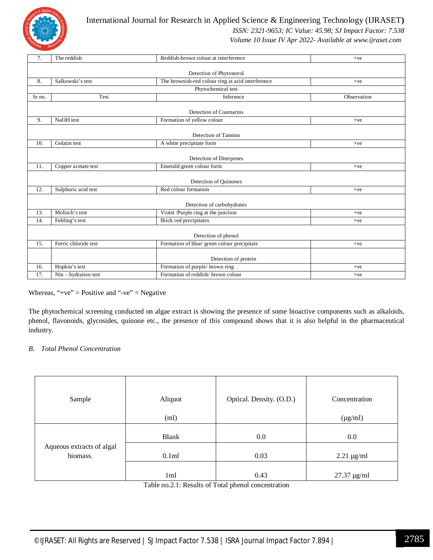

 *ISSN: 2321-9653; IC Value: 45.98; SJ Impact Factor: 7.538*

 *Volume 10 Issue IV Apr 2022- Available at www.ijraset.com*

| 7.                                                                         | The reddish                                                           | Reddish-brown colour at interference<br>$+ve$ |             |
|----------------------------------------------------------------------------|-----------------------------------------------------------------------|-----------------------------------------------|-------------|
|                                                                            |                                                                       | Detection of Phytosterol                      |             |
| 8.                                                                         | The brownish-red colour ring at acid interference<br>Salkowski's test |                                               | $+ve$       |
|                                                                            |                                                                       | Phytochemical test                            |             |
| Sr no.                                                                     | Test<br>Inference                                                     |                                               | Observation |
|                                                                            |                                                                       | Detection of Coumarins                        |             |
| 9.                                                                         | NaOH test                                                             | Formation of yellow colour                    | $+ve$       |
|                                                                            |                                                                       | Detection of Tannins                          |             |
| 10.                                                                        | Gelatin test                                                          | A white precipitate form                      | $+ve$       |
|                                                                            |                                                                       | Detection of Diterpenes                       |             |
| 11.                                                                        | Copper acetate test                                                   | Emerald green colour form                     | $+ve$       |
|                                                                            |                                                                       | Detection of Quinones                         |             |
| 12.                                                                        | Sulphuric acid test<br>Red colour formation<br>$+ve$                  |                                               |             |
|                                                                            |                                                                       | Detection of carbohydrates                    |             |
| 13.                                                                        | Molisch's test                                                        | Violet /Purple ring at the junction           | $+ve$       |
| 14.                                                                        | Fehling's test                                                        | Brick red precipitates<br>$+ve$               |             |
|                                                                            |                                                                       | Detection of phenol                           |             |
| Formation of blue/ green colour precipitate<br>15.<br>Ferric chloride test |                                                                       |                                               | $+ve$       |
|                                                                            |                                                                       | Detection of protein                          |             |
| 16.                                                                        | Hopkin's test                                                         | Formation of purple/ brown ring               | $+ve$       |
| 17.                                                                        | $Nin$ – hydration test                                                | Formation of reddish/brown colour<br>$+ve$    |             |

#### Whereas, "+ve" = Positive and "-ve" = Negative

The phytochemical screening conducted on algae extract is showing the presence of some bioactive components such as alkaloids, phenol, flavonoids, glycosides, quinone etc., the presence of this compound shows that it is also helpful in the pharmaceutical industry.

#### *B. Total Phenol Concentration*

| Sample                    | Aliquot      | Optical. Density. (O.D.) | Concentration      |
|---------------------------|--------------|--------------------------|--------------------|
|                           | (ml)         |                          | $(\mu g/ml)$       |
|                           |              |                          |                    |
|                           | <b>Blank</b> | 0.0                      | 0.0                |
| Aqueous extracts of algal |              |                          |                    |
| biomass.                  | 0.1ml        | 0.03                     | $2.21 \mu g/ml$    |
|                           |              |                          |                    |
|                           | 1ml          | 0.43                     | $27.37 \,\mu g/ml$ |

Table no.2.1: Results of Total phenol concentration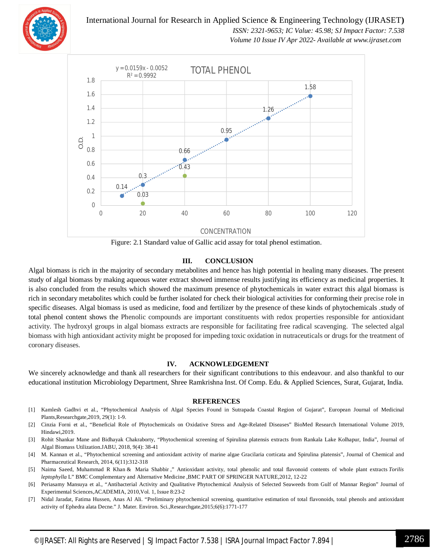

 *ISSN: 2321-9653; IC Value: 45.98; SJ Impact Factor: 7.538 Volume 10 Issue IV Apr 2022- Available at www.ijraset.com*



Figure: 2.1 Standard value of Gallic acid assay for total phenol estimation.

#### **III. CONCLUSION**

Algal biomass is rich in the majority of secondary metabolites and hence has high potential in healing many diseases. The present study of algal biomass by making aqueous water extract showed immense results justifying its efficiency as medicinal properties. It is also concluded from the results which showed the maximum presence of phytochemicals in water extract this algal biomass is rich in secondary metabolites which could be further isolated for check their biological activities for conforming their precise role in specific diseases. Algal biomass is used as medicine, food and fertilizer by the presence of these kinds of phytochemicals .study of total phenol content shows the Phenolic compounds are important constituents with redox properties responsible for antioxidant activity. The hydroxyl groups in algal biomass extracts are responsible for facilitating free radical scavenging. The selected algal biomass with high antioxidant activity might be proposed for impeding toxic oxidation in nutraceuticals or drugs for the treatment of coronary diseases.

#### **IV. ACKNOWLEDGEMENT**

We sincerely acknowledge and thank all researchers for their significant contributions to this endeavour. and also thankful to our educational institution Microbiology Department, Shree Ramkrishna Inst. Of Comp. Edu. & Applied Sciences, Surat, Gujarat, India.

#### **REFERENCES**

- [1] Kamlesh Gadhvi et al., "Phytochemical Analysis of Algal Species Found in Sutrapada Coastal Region of Gujarat", European Journal of Medicinal Plants,Researchgate,2019, 29(1): 1-9.
- [2] Cinzia Forni et al., "Beneficial Role of Phytochemicals on Oxidative Stress and Age-Related Diseases" BioMed Research International Volume 2019, Hindawi,2019.
- [3] Rohit Shankar Mane and Bidhayak Chakraborty, "Phytochemical screening of Spirulina platensis extracts from Rankala Lake Kolhapur, India", Journal of Algal Biomass Utilization.JABU, 2018, 9(4): 38-41
- [4] M. Kannan et al., "Phytochemical screening and antioxidant activity of marine algae Gracilaria corticata and Spirulina platensis", Journal of Chemical and Pharmaceutical Research, 2014, 6(11):312-318
- [5] Naima Saeed, Muhammad R Khan & Maria Shabbir ," Antioxidant activity, total phenolic and total flavonoid contents of whole plant extracts *Torilis leptophylla* L" BMC Complementary and Alternative Medicine ,BMC PART OF SPRINGER NATURE,2012, 12-22
- [6] Periasamy Mansuya et al., "Antibacterial Activity and Qualitative Phytochemical Analysis of Selected Seaweeds from Gulf of Mannar Region" Journal of Experimental Sciences,ACADEMIA, 2010,Vol. 1, Issue 8:23-2
- [7] Nidal Jaradat, Fatima Hussen, Anas Al Ali. "Preliminary phytochemical screening, quantitative estimation of total flavonoids, total phenols and antioxidant activity of Ephedra alata Decne." J. Mater. Environ. Sci.,Researchgate,2015;6(6):1771-177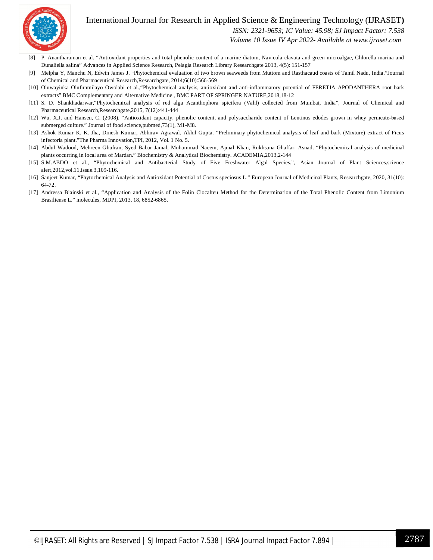

 *ISSN: 2321-9653; IC Value: 45.98; SJ Impact Factor: 7.538*

 *Volume 10 Issue IV Apr 2022- Available at www.ijraset.com*

- [8] P. Anantharaman et al. "Antioxidant properties and total phenolic content of a marine diatom, Navicula clavata and green microalgae, Chlorella marina and Dunaliella salina" Advances in Applied Science Research, Pelagia Research Library Researchgate 2013, 4(5): 151-157
- [9] Melpha Y, Manchu N, Edwin James J. "Phytochemical evaluation of two brown seaweeds from Muttom and Rasthacaud coasts of Tamil Nadu, India."Journal of Chemical and Pharmaceutical Research,Researchgate, 2014;6(10):566-569
- [10] Oluwayinka Olufunmilayo Owolabi et al.,"Phytochemical analysis, antioxidant and anti-inflammatory potential of FERETIA APODANTHERA root bark extracts" BMC Complementary and Alternative Medicine , BMC PART OF SPRINGER NATURE,2018,18-12
- [11] S. D. Shankhadarwar,"Phytochemical analysis of red alga Acanthophora spicifera (Vahl) collected from Mumbai, India", Journal of Chemical and Pharmaceutical Research,Researchgate,2015, 7(12):441-444
- [12] Wu, X.J. and Hansen, C. (2008). "Antioxidant capacity, phenolic content, and polysaccharide content of Lentinus edodes grown in whey permeate-based submerged culture." Journal of food science,pubmed,73(1), M1-M8.
- [13] Ashok Kumar K. K. Jha, Dinesh Kumar, Abhirav Agrawal, Akhil Gupta. "Preliminary phytochemical analysis of leaf and bark (Mixture) extract of Ficus infectoria plant."The Pharma Innovation,TPI, 2012, Vol. 1 No. 5.
- [14] Abdul Wadood, Mehreen Ghufran, Syed Babar Jamal, Muhammad Naeem, Ajmal Khan, Rukhsana Ghaffar, Asnad. "Phytochemical analysis of medicinal plants occurring in local area of Mardan." Biochemistry & Analytical Biochemistry. ACADEMIA,2013,2-144
- [15] S.M.ABDO et al., "Phytochemical and Antibacterial Study of Five Freshwater Algal Species.", Asian Journal of Plant Sciences,science alert,2012,vol.11,issue.3,109-116.
- [16] Sanjeet Kumar, "Phytochemical Analysis and Antioxidant Potential of Costus speciosus L." European Journal of Medicinal Plants, Researchgate, 2020, 31(10): 64-72.
- [17] Andressa Blainski et al., "Application and Analysis of the Folin Ciocalteu Method for the Determination of the Total Phenolic Content from Limonium Brasiliense L." molecules, MDPI, 2013, 18, 6852-6865.